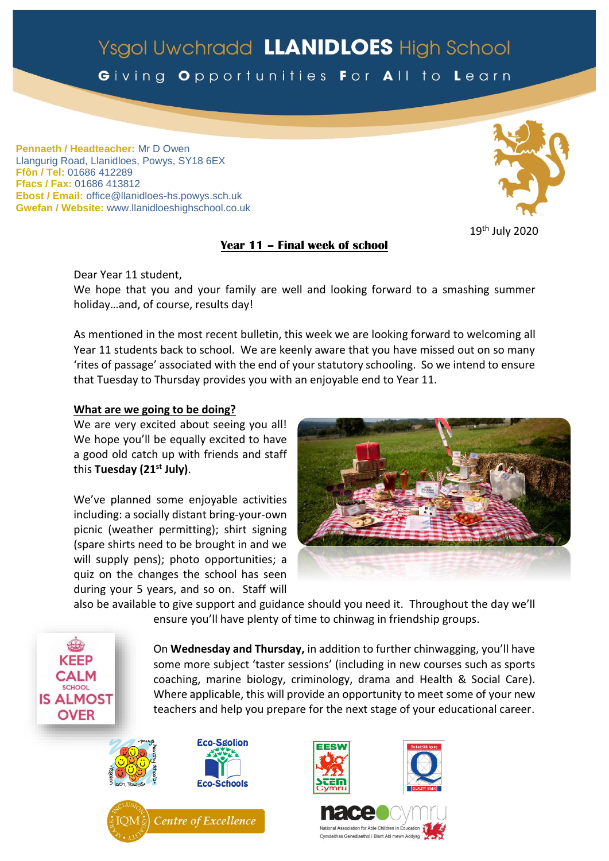# Ysgol Uwchradd LLANIDLOES High School

# Giving Opportunities For All to Learn

**Pennaeth / Headteacher:** Mr D Owen Llangurig Road, Llanidloes, Powys, SY18 6EX **Ffôn / Tel:** 01686 412289 **Ffacs / Fax:** 01686 413812 **Ebost / Email:** office@llanidloes-hs.powys.sch.uk **Gwefan / Website:** www.llanidloeshighschool.co.uk

# **Year 11 – Final week of school**

19th July 2020

Dear Year 11 student,

We hope that you and your family are well and looking forward to a smashing summer holiday…and, of course, results day!

As mentioned in the most recent bulletin, this week we are looking forward to welcoming all Year 11 students back to school. We are keenly aware that you have missed out on so many 'rites of passage' associated with the end of your statutory schooling. So we intend to ensure that Tuesday to Thursday provides you with an enjoyable end to Year 11.

# **What are we going to be doing?**

We are very excited about seeing you all! We hope you'll be equally excited to have a good old catch up with friends and staff this **Tuesday (21st July)**.

We've planned some enjoyable activities including: a socially distant bring-your-own picnic (weather permitting); shirt signing (spare shirts need to be brought in and we will supply pens); photo opportunities; a quiz on the changes the school has seen during your 5 years, and so on. Staff will



also be available to give support and guidance should you need it. Throughout the day we'll ensure you'll have plenty of time to chinwag in friendship groups.

> On **Wednesday and Thursday,** in addition to further chinwagging, you'll have some more subject 'taster sessions' (including in new courses such as sports coaching, marine biology, criminology, drama and Health & Social Care). Where applicable, this will provide an opportunity to meet some of your new teachers and help you prepare for the next stage of your educational career.



**KFFP CALM** SCHOOL **IS ALMOST OVER**